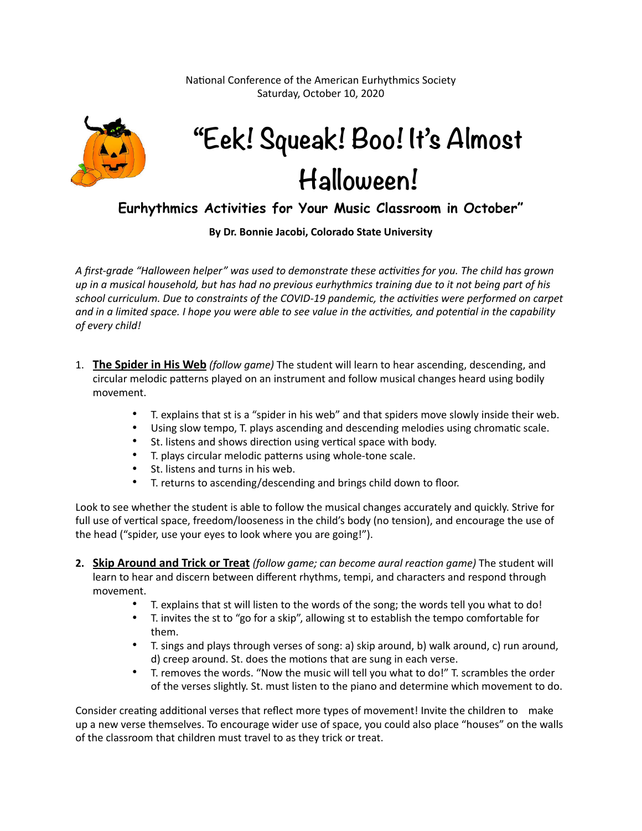National Conference of the American Eurhythmics Society Saturday, October 10, 2020



## **"Eek! Squeak! Boo! It's Almost Halloween!**

## **Eurhythmics Activities for Your Music Classroom in October"**

**By Dr. Bonnie Jacobi, Colorado State University** 

A first-grade "Halloween helper" was used to demonstrate these activities for you. The child has grown *up in a musical household, but has had no previous eurhythmics training due to it not being part of his*  school curriculum. Due to constraints of the COVID-19 pandemic, the activities were performed on carpet and in a limited space. I hope you were able to see value in the activities, and potential in the capability *of every child!* 

- 1. **The Spider in His Web** *(follow game)* The student will learn to hear ascending, descending, and circular melodic patterns played on an instrument and follow musical changes heard using bodily movement.
	- T. explains that st is a "spider in his web" and that spiders move slowly inside their web.
	- Using slow tempo, T. plays ascending and descending melodies using chromatic scale.
	- St. listens and shows direction using vertical space with body.<br>• T nlavs circular melodic patterns using whole-tone scale.
	- T. plays circular melodic patterns using whole-tone scale.
	- St. listens and turns in his web.
	- T. returns to ascending/descending and brings child down to floor.

Look to see whether the student is able to follow the musical changes accurately and quickly. Strive for full use of vertical space, freedom/looseness in the child's body (no tension), and encourage the use of the head ("spider, use your eyes to look where you are going!").

- **2. Skip Around and Trick or Treat** *(follow game; can become aural reaction game)* The student will learn to hear and discern between different rhythms, tempi, and characters and respond through movement.
	- T. explains that st will listen to the words of the song; the words tell you what to do!
	- T. invites the st to "go for a skip", allowing st to establish the tempo comfortable for them.
	- T. sings and plays through verses of song: a) skip around, b) walk around, c) run around, d) creep around. St. does the motions that are sung in each verse.
	- T. removes the words. "Now the music will tell you what to do!" T. scrambles the order of the verses slightly. St. must listen to the piano and determine which movement to do.

Consider creating additional verses that reflect more types of movement! Invite the children to make up a new verse themselves. To encourage wider use of space, you could also place "houses" on the walls of the classroom that children must travel to as they trick or treat.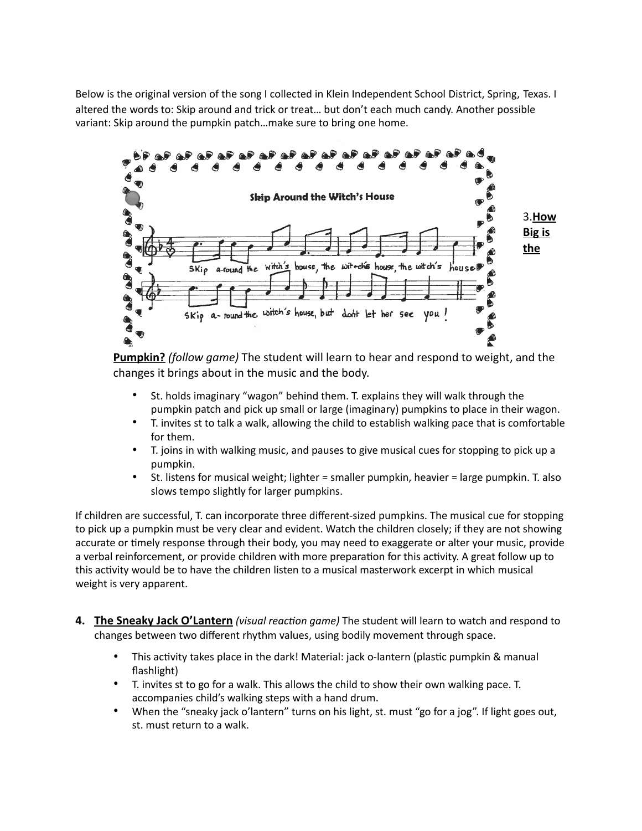Below is the original version of the song I collected in Klein Independent School District, Spring, Texas. I altered the words to: Skip around and trick or treat… but don't each much candy. Another possible variant: Skip around the pumpkin patch…make sure to bring one home.



**Pumpkin?** *(follow game)* The student will learn to hear and respond to weight, and the changes it brings about in the music and the body.

- St. holds imaginary "wagon" behind them. T. explains they will walk through the pumpkin patch and pick up small or large (imaginary) pumpkins to place in their wagon.
- T. invites st to talk a walk, allowing the child to establish walking pace that is comfortable for them.
- T. joins in with walking music, and pauses to give musical cues for stopping to pick up a pumpkin.
- St. listens for musical weight; lighter = smaller pumpkin, heavier = large pumpkin. T. also slows tempo slightly for larger pumpkins.

If children are successful, T. can incorporate three different-sized pumpkins. The musical cue for stopping to pick up a pumpkin must be very clear and evident. Watch the children closely; if they are not showing accurate or timely response through their body, you may need to exaggerate or alter your music, provide a verbal reinforcement, or provide children with more preparation for this activity. A great follow up to this activity would be to have the children listen to a musical masterwork excerpt in which musical weight is very apparent.

- **4.** The Sneaky Jack O'Lantern *(visual reaction game)* The student will learn to watch and respond to changes between two different rhythm values, using bodily movement through space.
	- This activity takes place in the dark! Material: jack o-lantern (plastic pumpkin & manual flashlight)
	- T. invites st to go for a walk. This allows the child to show their own walking pace. T. accompanies child's walking steps with a hand drum.
	- When the "sneaky jack o'lantern" turns on his light, st. must "go for a jog". If light goes out, st. must return to a walk.